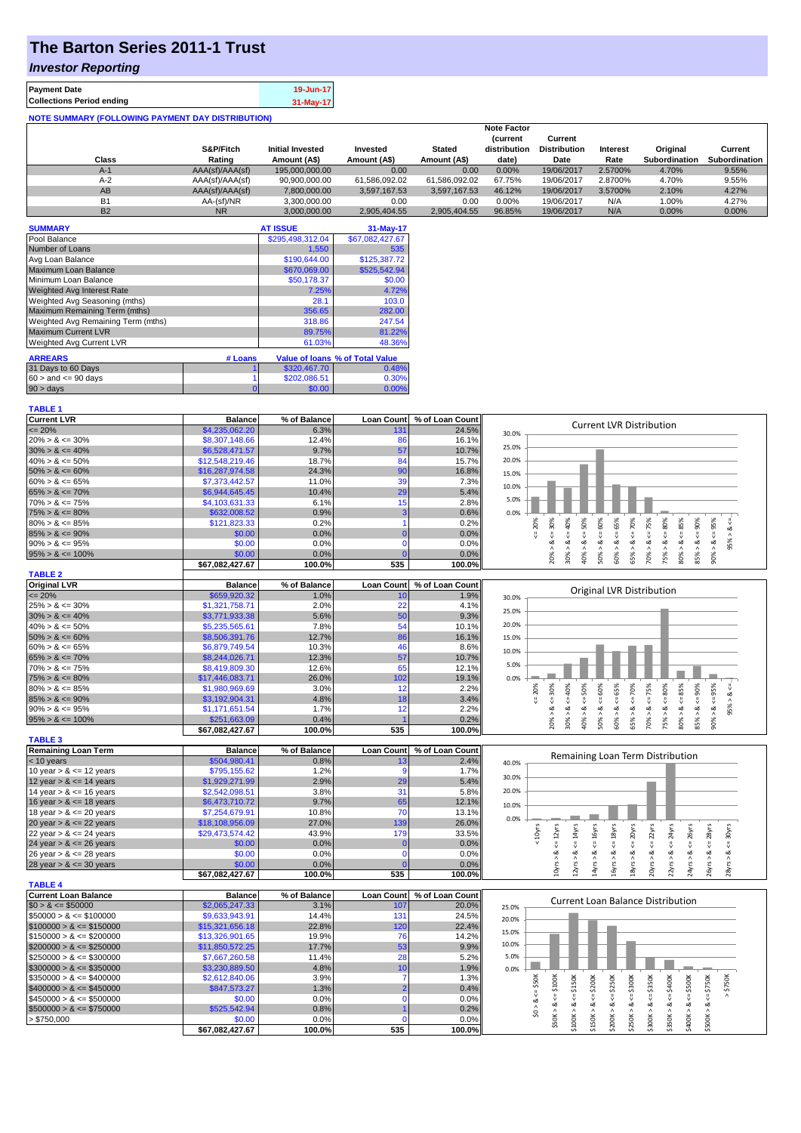# **The Barton Series 2011-1 Trust**

#### *Investor Reporting*

| <b>Payment Date</b>                                      | 19-Jun-17 |
|----------------------------------------------------------|-----------|
| <b>Collections Period ending</b>                         | 31-May-17 |
| <b>NOTE SUMMARY (FOLLOWING PAYMENT DAY DISTRIBUTION)</b> |           |

|           | <b>Note Factor</b> |                         |               |               |                                 |                                |          |                      |                      |
|-----------|--------------------|-------------------------|---------------|---------------|---------------------------------|--------------------------------|----------|----------------------|----------------------|
|           | S&P/Fitch          | <b>Initial Invested</b> | Invested      | <b>Stated</b> | <b>(current</b><br>distribution | Current<br><b>Distribution</b> | Interest | Original             | Current              |
| Class     | Rating             | Amount (A\$)            | Amount (A\$)  | Amount (A\$)  | date)                           | Date                           | Rate     | <b>Subordination</b> | <b>Subordination</b> |
| $A-1$     | AAA(sf)/AAA(sf)    | 195.000.000.00          | 0.00          | 0.00          | 0.00%                           | 19/06/2017                     | 2.5700%  | 4.70%                | 9.55%                |
| $A-2$     | AAA(sf)/AAA(sf)    | 90.900.000.00           | 61.586.092.02 | 61.586.092.02 | 67.75%                          | 19/06/2017                     | 2.8700%  | 4.70%                | 9.55%                |
| AB        | AAA(sf)/AAA(sf)    | 7.800.000.00            | 3.597.167.53  | 3.597.167.53  | 46.12%                          | 19/06/2017                     | 3.5700%  | 2.10%                | 4.27%                |
| <b>B1</b> | AA-(sf)/NR         | 3,300,000.00            | 0.00          | 0.00          | $0.00\%$                        | 19/06/2017                     | N/A      | 1.00%                | 4.27%                |
| <b>B2</b> | <b>NR</b>          | 3.000.000.00            | 2.905.404.55  | 2.905.404.55  | 96.85%                          | 19/06/2017                     | N/A      | 0.00%                | 0.00%                |

| <b>SUMMARY</b>                     |         | <b>AT ISSUE</b>  | 31-May-17                              |
|------------------------------------|---------|------------------|----------------------------------------|
| Pool Balance                       |         | \$295,498,312.04 | \$67,082,427.67                        |
| Number of Loans                    |         | 1.550            | 535                                    |
| Avg Loan Balance                   |         | \$190,644.00     | \$125,387.72                           |
| Maximum Loan Balance               |         | \$670,069.00     | \$525,542.94                           |
| Minimum Loan Balance               |         | \$50,178.37      | \$0.00                                 |
| <b>Weighted Avg Interest Rate</b>  |         | 7.25%            | 4.72%                                  |
| Weighted Avg Seasoning (mths)      |         | 28.1             | 103.0                                  |
| Maximum Remaining Term (mths)      |         | 356.65           | 282.00                                 |
| Weighted Avg Remaining Term (mths) |         | 318.86           | 247.54                                 |
| <b>Maximum Current LVR</b>         |         | 89.75%           | 81.22%                                 |
| Weighted Avg Current LVR           |         | 61.03%           | 48.36%                                 |
| <b>ARREARS</b>                     | # Loans |                  | <b>Value of loans % of Total Value</b> |

| <b>ARREARS</b>            | # LUGIIS |              | <b>Value Of IDAIIS</b> 70 OF FOLAL VAIUE |
|---------------------------|----------|--------------|------------------------------------------|
| 31 Days to 60 Days        |          | \$320,467.70 | $0.48\%$                                 |
| $60 >$ and $\leq 90$ days |          | \$202.086.51 | 0.30%                                    |
| $90 > \text{days}$        |          | \$0.00       | $0.00\%$                                 |

| <b>TABLE 1</b>              |                                 |                |                   |                 |                                                                                                                                                                                                                                                   |
|-----------------------------|---------------------------------|----------------|-------------------|-----------------|---------------------------------------------------------------------------------------------------------------------------------------------------------------------------------------------------------------------------------------------------|
| <b>Current LVR</b>          | <b>Balance</b>                  | % of Balance   | <b>Loan Count</b> | % of Loan Count | <b>Current LVR Distribution</b>                                                                                                                                                                                                                   |
| $= 20%$                     | \$4,235,062.20                  | 6.3%           | 131               | 24.5%           | 30.0%                                                                                                                                                                                                                                             |
| $20\% > 8 \le 30\%$         | \$8,307,148.66                  | 12.4%          | 86                | 16.1%           | 25.0%                                                                                                                                                                                                                                             |
| $30\% > 8 \le 40\%$         | \$6,528,471.57                  | 9.7%           | 57                | 10.7%           |                                                                                                                                                                                                                                                   |
| $40\% > 8 \le 50\%$         | \$12,548,219.46                 | 18.7%          | 84                | 15.7%           | 20.0%                                                                                                                                                                                                                                             |
| $50\% > 8 \le 60\%$         | \$16,287,974.58                 | 24.3%          | 90                | 16.8%           | 15.0%                                                                                                                                                                                                                                             |
| $60\% > 8 \le 65\%$         | \$7,373,442.57                  | 11.0%          | 39                | 7.3%            | 10.0%                                                                                                                                                                                                                                             |
| $65\% > 8 \le 70\%$         | \$6,944,645.45                  | 10.4%          | 29                | 5.4%            |                                                                                                                                                                                                                                                   |
| $70\% > 8 \le 75\%$         | \$4,103,631.33                  | 6.1%           | 15                | 2.8%            | 5.0%                                                                                                                                                                                                                                              |
| $75\% > 8 \le 80\%$         | \$632,008.52                    | 0.9%           | $\overline{3}$    | 0.6%            | 0.0%                                                                                                                                                                                                                                              |
| $80\% > 8 \le 85\%$         | \$121,823.33                    | 0.2%           | 1                 | 0.2%            | 8 < 60%<br>$<=75%$<br>$<< 30\%$<br>40%<br>$8 \le 50\%$<br>65%<br>70%<br>80%<br>$8 \le 90\%$<br>$<=95\%$<br>20%<br>$<=85\%$<br>₩                                                                                                                   |
| $85\% > 8 \le 90\%$         | \$0.00                          | 0.0%           | $\Omega$          | 0.0%            | 95% > 8.<br>$8 \leq 8$<br>8 < 1<br>$<=$<br>$<=$                                                                                                                                                                                                   |
| $90\% > 8 \le 95\%$         | \$0.00                          | 0.0%           | $\mathbf 0$       | 0.0%            | ಹ                                                                                                                                                                                                                                                 |
| $95\% > 8 \le 100\%$        | \$0.00                          | 0.0%           | $\sqrt{ }$        | 0.0%            | $20\%$ $>$<br>40% ><br>$50\%$ ><br>60% ><br>65% ><br>70% ><br>75% ><br>$80\%$ ><br>85% ><br>90% ><br>30% >                                                                                                                                        |
|                             | \$67,082,427.67                 | 100.0%         | 535               | 100.0%          |                                                                                                                                                                                                                                                   |
| <b>TABLE 2</b>              |                                 |                |                   |                 |                                                                                                                                                                                                                                                   |
| <b>Original LVR</b>         | <b>Balance</b>                  | % of Balance   | <b>Loan Count</b> | % of Loan Count | Original LVR Distribution                                                                                                                                                                                                                         |
| $= 20%$                     | \$659,920.32                    | 1.0%           | 10                | 1.9%            | 30.0%                                                                                                                                                                                                                                             |
| $25\% > 8 \le 30\%$         | \$1,321,758.71                  | 2.0%           | 22                | 4.1%            | 25.0%                                                                                                                                                                                                                                             |
| $30\% > 8 \le 40\%$         | \$3,771,933.38                  | 5.6%           | 50                | 9.3%            | 20.0%                                                                                                                                                                                                                                             |
| $40\% > 8 \le 50\%$         | \$5,235,565.61                  | 7.8%           | 54                | 10.1%           |                                                                                                                                                                                                                                                   |
| $50\% > 8 \le 60\%$         | \$8,506,391.76                  | 12.7%          | 86                | 16.1%           | 15.0%                                                                                                                                                                                                                                             |
| $60\% > 8 \le 65\%$         | \$6,879,749.54                  | 10.3%          | 46                | 8.6%            | 10.0%                                                                                                                                                                                                                                             |
| $65\% > 8 \le 70\%$         | \$8,244,026.71                  | 12.3%          | 57                | 10.7%           | 5.0%                                                                                                                                                                                                                                              |
| $70\% > 8 \le 75\%$         | \$8,419,809.30                  | 12.6%          | 65                | 12.1%           |                                                                                                                                                                                                                                                   |
| $75\% > 8 \le 80\%$         | \$17,446,083.71                 | 26.0%          | 102               | 19.1%           | 0.0%<br>₩                                                                                                                                                                                                                                         |
| $80\% > 8 \le 85\%$         | \$1,980,969.69                  | 3.0%           | 12                | 2.2%            | $4 = 30\%$<br>40%<br>$<=65%$<br>$4 = 20\%$                                                                                                                                                                                                        |
| $85\% > 8 \le 90\%$         | \$3,192,904.31                  | 4.8%           | 18                | 3.4%            | 95% > 8<br>ૐ<br>$\dot{\infty}$                                                                                                                                                                                                                    |
| $90\% > 8 \le 95\%$         | \$1,171,651.54                  | 1.7%           | 12                | 2.2%            | $90\% > 8 <= 95\%$<br>$75% > 8 <= 80%$                                                                                                                                                                                                            |
| $95\% > 8 \le 100\%$        | \$251,663.09<br>\$67,082,427.67 | 0.4%<br>100.0% | 535               | 0.2%<br>100.0%  | $85% > 8 < = 90%$<br>$40\% > 8 \leq 50\%$<br>$50\% > 8 \le 60\%$<br>$65\% > 8 <= 70\%$<br>$70\% > 8 \le 75\%$<br>$80\% > 8 \leq 85\%$<br>20% ><br>30% ><br>60% >                                                                                  |
| <b>TABLE 3</b>              |                                 |                |                   |                 |                                                                                                                                                                                                                                                   |
| <b>Remaining Loan Term</b>  | <b>Balance</b>                  | % of Balance   | <b>Loan Count</b> | % of Loan Count |                                                                                                                                                                                                                                                   |
| < 10 years                  | \$504,980.41                    | 0.8%           |                   | 2.4%            | Remaining Loan Term Distribution<br>40.0%                                                                                                                                                                                                         |
| 10 year $> 8 \le 12$ years  | \$795,155.62                    | 1.2%           | -9                | 1.7%            |                                                                                                                                                                                                                                                   |
| 12 year $> 8 \le 14$ years  | \$1,929,271.99                  | 2.9%           | 29                | 5.4%            | 30.0%                                                                                                                                                                                                                                             |
| 14 year $> 8 \le 16$ years  | \$2,542,098.51                  | 3.8%           | 31                | 5.8%            | 20.0%                                                                                                                                                                                                                                             |
| 16 year $> 8 \le 18$ years  | \$6,473,710.72                  | 9.7%           | 65                | 12.1%           | 10.0%                                                                                                                                                                                                                                             |
| 18 year $> 8 \le 20$ years  | \$7,254,679.91                  | 10.8%          | 70                | 13.1%           |                                                                                                                                                                                                                                                   |
| 20 year $> 8 \le 22$ years  | \$18,108,956.09                 | 27.0%          | 139               | 26.0%           | 0.0%                                                                                                                                                                                                                                              |
| 22 year $> 8 \le 24$ years  | \$29,473,574.42                 | 43.9%          | 179               | 33.5%           | < 10 <sub>yrs</sub>                                                                                                                                                                                                                               |
| 24 year $> 8 \le 26$ years  | \$0.00                          | 0.0%           | $\overline{0}$    | 0.0%            | $\leq$ 30 $yrs$<br>$\leq$ = 24yrs<br>$\epsilon$ = 26yrs<br>$\epsilon$ = 28yrs                                                                                                                                                                     |
| 26 year $> 8 \le 28$ years  | \$0.00                          | 0.0%           | $\mathbf{0}$      | 0.0%            | ಹ                                                                                                                                                                                                                                                 |
| 28 year $> 8 \le 30$ years  | \$0.00                          | 0.0%           | $\Omega$          | 0.0%            | $14yrs > 8c = 16yrs$<br>$10yrs > 8c = 12yrs$<br>$12yrs > 8c = 14yrs$<br>$16yrs > 8 \le 18yrs$<br>$18yrs > 8 \le 20yrs$<br>$20yrs > 8 <= 22yrs$<br>$22\gamma rs > 8$<br>24yrs > 8<br>26yrs > 8<br>28yrs > i                                        |
|                             | \$67,082,427.67                 | 100.0%         | 535               | 100.0%          |                                                                                                                                                                                                                                                   |
| <b>TABLE 4</b>              |                                 |                |                   |                 |                                                                                                                                                                                                                                                   |
| <b>Current Loan Balance</b> | <b>Balance</b>                  | % of Balance   | <b>Loan Count</b> | % of Loan Count |                                                                                                                                                                                                                                                   |
| $$0 > 8 \le $50000$         | \$2,065,247.33                  | 3.1%           | 107               | 20.0%           | <b>Current Loan Balance Distribution</b><br>25.0%                                                                                                                                                                                                 |
| $$50000 > 8 \le $100000$    | \$9,633,943.91                  | 14.4%          | 131               | 24.5%           | 20.0%                                                                                                                                                                                                                                             |
| $$100000 > 8 \leq $150000$  | \$15,321,656.18                 | 22.8%          | 120               | 22.4%           | 15.0%                                                                                                                                                                                                                                             |
| $$150000 > 8 \leq $200000$  | \$13,326,901.65                 | 19.9%          | 76                | 14.2%           |                                                                                                                                                                                                                                                   |
| $$200000 > 8 \leq $250000$  | \$11,850,572.25                 | 17.7%          | 53                | 9.9%            | 10.0%                                                                                                                                                                                                                                             |
| $$250000 > 8 \leq $300000$  | \$7,667,260.58                  | 11.4%          | 28                | 5.2%            | 5.0%                                                                                                                                                                                                                                              |
| $$300000 > 8 \leq $350000$  | \$3,230,889.50                  | 4.8%           | 10                | 1.9%            | 0.0%                                                                                                                                                                                                                                              |
| $$350000 > 8 \leq $400000$  | \$2,612,840.06                  | 3.9%           | $\overline{7}$    | 1.3%            |                                                                                                                                                                                                                                                   |
| $$400000 > 8 \leq $450000$  | \$847,573.27                    | 1.3%           | $\overline{2}$    | 0.4%            | $>$ \$750K                                                                                                                                                                                                                                        |
| $$450000 > 8 \leq $500000$  | \$0.00                          | 0.0%           | $\mathbf{0}$      | 0.0%            | $$0 > 8 <= $50K$$<br>$$50K > 8 <= $100K$<br>$$300K > 8 \leq S350K$<br>$$100K > 8 \leq 5150K$<br>$$150K > 8 <= $200K$<br>$$200K > 8 \leq $250K$<br>$$350K > 8 \le = $400K$<br>$$400K > 8 <= $500K$<br>$$250K > 8 <= $300K$<br>$$500K > 8 <= $750K$ |
| $$500000 > 8 \le $750000$   | \$525,542.94                    | 0.8%           |                   | 0.2%            |                                                                                                                                                                                                                                                   |
| > \$750,000                 | \$0.00                          | 0.0%           | $\Omega$          | 0.0%            |                                                                                                                                                                                                                                                   |
|                             | \$67,082,427.67                 | 100.0%         | 535               | 100.0%          |                                                                                                                                                                                                                                                   |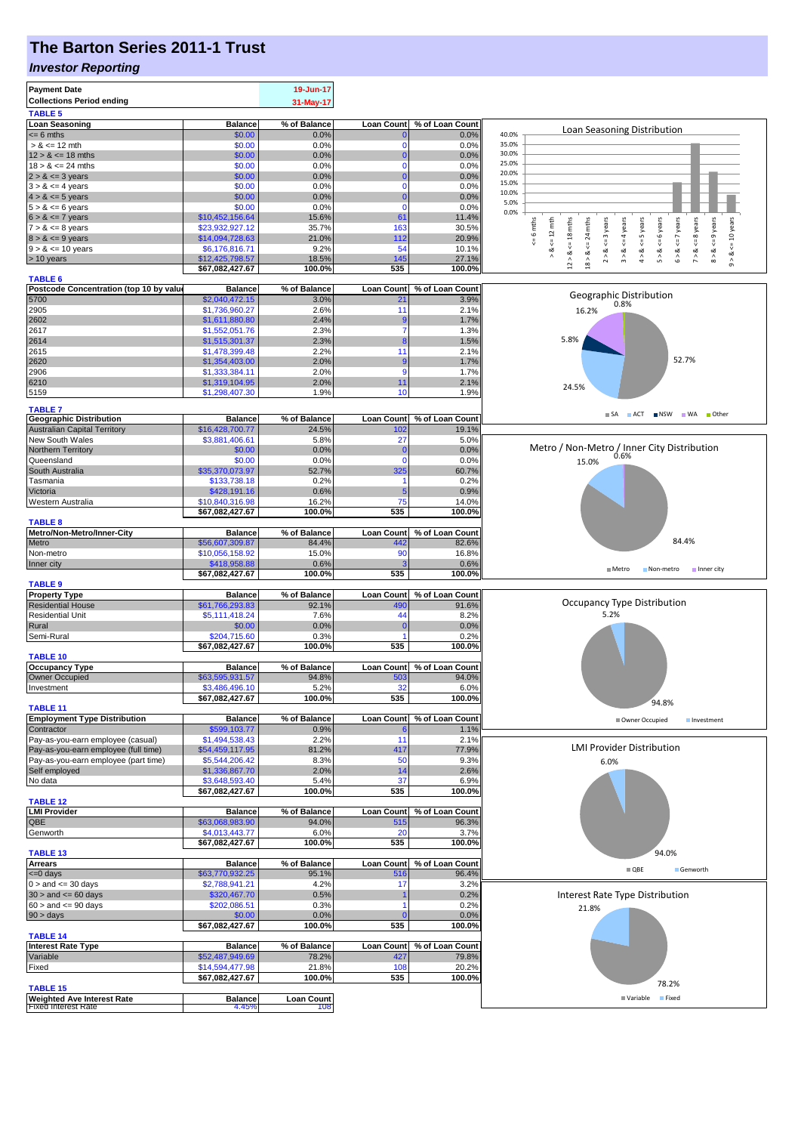## **The Barton Series 2011-1 Trust**

#### *Investor Reporting*

| <b>Payment Date</b>                                                   |                                   | 19-Jun-17         |                             |                            |                                                                                                                          |
|-----------------------------------------------------------------------|-----------------------------------|-------------------|-----------------------------|----------------------------|--------------------------------------------------------------------------------------------------------------------------|
| <b>Collections Period ending</b>                                      |                                   | 31-May-17         |                             |                            |                                                                                                                          |
| <b>TABLE 5</b>                                                        |                                   |                   |                             |                            |                                                                                                                          |
| <b>Loan Seasoning</b>                                                 | <b>Balance</b>                    | % of Balance      | <b>Loan Count</b>           | % of Loan Count            | Loan Seasoning Distribution                                                                                              |
| $= 6$ mths                                                            | \$0.00                            | 0.0%              | $\mathbf{0}$                | 0.0%                       | 40.0%<br>35.0%                                                                                                           |
| $> 8 \le 12$ mth                                                      | \$0.00                            | 0.0%              | $\mathbf 0$                 | 0.0%                       | 30.0%                                                                                                                    |
| $12 > 8 \le 18$ mths<br>$18 > 8 \le 24$ mths                          | \$0.00<br>\$0.00                  | 0.0%<br>0.0%      | $\mathbf{0}$<br>$\mathbf 0$ | 0.0%<br>0.0%               | 25.0%                                                                                                                    |
| $2 > 8 \le 3$ years                                                   | \$0.00                            | 0.0%              | $\bf{0}$                    | 0.0%                       | 20.0%                                                                                                                    |
| $3 > 8 \le 4$ years                                                   | \$0.00                            | 0.0%              | $\Omega$                    | 0.0%                       | 15.0%                                                                                                                    |
| $4 > 8 \le 5$ years                                                   | \$0.00                            | 0.0%              | $\Omega$                    | 0.0%                       | 10.0%                                                                                                                    |
| $5 > 8 \le 6$ years                                                   | \$0.00                            | 0.0%              | $\mathbf 0$                 | 0.0%                       | 5.0%                                                                                                                     |
| $6 > 8 \le 7$ years                                                   | \$10,452,156.64                   | 15.6%             | 61                          | 11.4%                      | 0.0%                                                                                                                     |
| $7 > 8 \le 8$ years                                                   | \$23,932,927.12                   | 35.7%             | 163                         | 30.5%                      | $\leq 12$ mth<br>$\leq 6$ years<br>years<br>mths<br>24 mths<br>$\leq 4$ years<br>$\Leftarrow$ 10 years<br>mths           |
| $8 > 8 \le 9$ years                                                   | \$14,094,728.63                   | 21.0%             | 112                         | 20.9%                      | $\circ$<br>$5 = 18$<br>ű                                                                                                 |
| $9 > 8 \le 10$ years                                                  | \$6,176,816.71                    | 9.2%              | 54                          | 10.1%                      | $4 > 8 \leq S$ years<br>$<=8$ years<br>$<= 9$ years<br>$2 > 8 < = 3$ years<br>$6 > 8 <= 7$<br>∛<br>⊗<br>∧<br>∝<br>ಷ<br>ಹ |
| > 10 years                                                            | \$12,425,798.57                   | 18.5%             | 145                         | 27.1%                      | 5 > 8<br>$9 - 8$ .<br>$\hat{z}$<br>$\stackrel{\wedge}{\circ}$<br>$\hat{3}$<br>$18 >$<br>$_{12}^{\circ}$                  |
|                                                                       | \$67,082,427.67                   | 100.0%            | 535                         | 100.0%                     |                                                                                                                          |
| <b>TABLE 6</b>                                                        |                                   |                   |                             |                            |                                                                                                                          |
| Postcode Concentration (top 10 by value                               | <b>Balance</b>                    | % of Balance      | Loan Count                  | % of Loan Count            | Geographic Distribution                                                                                                  |
| 5700                                                                  | \$2,040,472.15                    | 3.0%<br>2.6%      | 21<br>11                    | 3.9%<br>2.1%               | 0.8%                                                                                                                     |
| 2905<br>2602                                                          | \$1,736,960.27<br>\$1,611,880.80  | 2.4%              | 9                           |                            | 16.2%                                                                                                                    |
| 2617                                                                  | \$1,552,051.76                    | 2.3%              | 7                           | 1.7%<br>1.3%               |                                                                                                                          |
| 2614                                                                  | \$1,515,301.37                    | 2.3%              | 8                           | 1.5%                       | 5.8%                                                                                                                     |
| 2615                                                                  | \$1,478,399.48                    | 2.2%              | 11                          | 2.1%                       |                                                                                                                          |
| 2620                                                                  | \$1,354,403.00                    | 2.0%              | 9                           | 1.7%                       | 52.7%                                                                                                                    |
| 2906                                                                  | \$1,333,384.11                    | 2.0%              | $\overline{9}$              | 1.7%                       |                                                                                                                          |
| 6210                                                                  | \$1,319,104.95                    | 2.0%              | 11                          | 2.1%                       |                                                                                                                          |
| 5159                                                                  | \$1,298,407.30                    | 1.9%              | 10                          | 1.9%                       | 24.5%                                                                                                                    |
|                                                                       |                                   |                   |                             |                            |                                                                                                                          |
| <b>TABLE 7</b>                                                        |                                   | % of Balance      | <b>Loan Count</b>           |                            | ACT NSW WA Other<br>$\blacksquare$ SA                                                                                    |
| <b>Geographic Distribution</b><br><b>Australian Capital Territory</b> | <b>Balance</b><br>\$16,428,700.77 | 24.5%             | 102                         | % of Loan Count<br>19.1%   |                                                                                                                          |
| New South Wales                                                       | \$3,881,406.61                    | 5.8%              | 27                          | 5.0%                       |                                                                                                                          |
| Northern Territory                                                    | \$0.00                            | 0.0%              | $\mathbf{0}$                | 0.0%                       | Metro / Non-Metro / Inner City Distribution                                                                              |
| Queensland                                                            | \$0.00                            | 0.0%              | $\mathbf 0$                 | 0.0%                       | 0.6%<br>15.0%                                                                                                            |
| South Australia                                                       | \$35,370,073.97                   | 52.7%             | 325                         | 60.7%                      |                                                                                                                          |
| Tasmania                                                              | \$133,738.18                      | 0.2%              |                             | 0.2%                       |                                                                                                                          |
| Victoria                                                              | \$428,191.16                      | 0.6%              | 5                           | 0.9%                       |                                                                                                                          |
| Western Australia                                                     | \$10,840,316.98                   | 16.2%             | 75                          | 14.0%                      |                                                                                                                          |
|                                                                       | \$67,082,427.67                   | 100.0%            | 535                         | 100.0%                     |                                                                                                                          |
| <b>TABLE 8</b>                                                        |                                   |                   |                             |                            |                                                                                                                          |
| Metro/Non-Metro/Inner-City                                            | <b>Balance</b>                    | % of Balance      | <b>Loan Count</b>           | % of Loan Count            |                                                                                                                          |
| Metro                                                                 | \$56,607,309.87                   | 84.4%             | 442                         | 82.6%                      | 84.4%                                                                                                                    |
| Non-metro                                                             | \$10,056,158.92                   | 15.0%             | 90                          | 16.8%                      |                                                                                                                          |
| Inner city                                                            | \$418,958.88                      | 0.6%              |                             | 0.6%                       | Metro<br>Non-metro<br>Inner city                                                                                         |
|                                                                       | \$67,082,427.67                   | 100.0%            | 535                         | 100.0%                     |                                                                                                                          |
| <b>TABLE 9</b>                                                        |                                   |                   |                             |                            |                                                                                                                          |
| <b>Property Type</b>                                                  | <b>Balance</b>                    | % of Balance      | <b>Loan Count</b>           | % of Loan Count            | Occupancy Type Distribution                                                                                              |
| <b>Residential House</b>                                              | \$61,766,293.83                   | 92.1%             | 490                         | 91.6%                      |                                                                                                                          |
| <b>Residential Unit</b>                                               | \$5,111,418.24                    | 7.6%              | 44                          | 8.2%                       | 5.2%                                                                                                                     |
| Rural<br>Semi-Rural                                                   | \$0.00<br>\$204,715.60            | 0.0%<br>0.3%      | $\mathbf 0$                 | 0.0%<br>0.2%               |                                                                                                                          |
|                                                                       | \$67,082,427.67                   | 100.0%            | 535                         | 100.0%                     |                                                                                                                          |
| <b>TABLE 10</b>                                                       |                                   |                   |                             |                            |                                                                                                                          |
| <b>Occupancy Type</b>                                                 | <b>Balance</b>                    | % of Balance      |                             | Loan Count % of Loan Count |                                                                                                                          |
| Owner Occupied                                                        | \$63,595,931.57                   | 94.8%             | 503                         | 94.0%                      |                                                                                                                          |
| Investment                                                            | \$3,486,496.10                    | 5.2%              |                             | $6.0\%$                    |                                                                                                                          |
|                                                                       | \$67,082,427.67                   | 100.0%            | 535                         | 100.0%                     |                                                                                                                          |
| <b>TABLE 11</b>                                                       |                                   |                   |                             |                            | 94.8%                                                                                                                    |
| <b>Employment Type Distribution</b>                                   | <b>Balance</b>                    | % of Balance      | <b>Loan Count</b>           | % of Loan Count            | Owner Occupied<br>Investment                                                                                             |
| Contractor                                                            | \$599,103.77                      | 0.9%              |                             | 1.1%                       |                                                                                                                          |
| Pay-as-you-earn employee (casual)                                     | \$1,494,538.43                    | 2.2%              | 11                          | 2.1%                       |                                                                                                                          |
| Pay-as-you-earn employee (full time)                                  | \$54,459,117.95                   | 81.2%             | 417                         | 77.9%                      | <b>LMI Provider Distribution</b>                                                                                         |
| Pay-as-you-earn employee (part time)                                  | \$5,544,206.42                    | 8.3%              | 50                          | 9.3%                       | 6.0%                                                                                                                     |
| Self employed                                                         | \$1,336,867.70                    | 2.0%              | 14                          | 2.6%                       |                                                                                                                          |
| No data                                                               | \$3,648,593.40                    | 5.4%              | 37                          | 6.9%                       |                                                                                                                          |
|                                                                       | \$67,082,427.67                   | 100.0%            | 535                         | 100.0%                     |                                                                                                                          |
| <b>TABLE 12</b><br><b>LMI Provider</b>                                | <b>Balance</b>                    | % of Balance      |                             | Loan Count % of Loan Count |                                                                                                                          |
| QBE                                                                   | \$63,068,983.90                   | 94.0%             | 515                         | 96.3%                      |                                                                                                                          |
| Genworth                                                              | \$4,013,443.77                    | 6.0%              | 20                          | 3.7%                       |                                                                                                                          |
|                                                                       | \$67,082,427.67                   | 100.0%            | 535                         | 100.0%                     |                                                                                                                          |
| <b>TABLE 13</b>                                                       |                                   |                   |                             |                            | 94.0%                                                                                                                    |
| <b>Arrears</b>                                                        | <b>Balance</b>                    | % of Balance      | <b>Loan Count</b>           | % of Loan Count            |                                                                                                                          |
| <= 0 days                                                             | \$63,770,932.25                   | 95.1%             | 516                         | 96.4%                      | $\blacksquare$ QBE<br>Genworth                                                                                           |
| $0 >$ and $\leq$ 30 days                                              | \$2,788,941.21                    | 4.2%              | 17                          | 3.2%                       |                                                                                                                          |
| $30 >$ and $\leq 60$ days                                             | \$320,467.70                      | 0.5%              |                             | 0.2%                       | Interest Rate Type Distribution                                                                                          |
| $60 >$ and $\leq 90$ days                                             | \$202,086.51                      | 0.3%              |                             | 0.2%                       | 21.8%                                                                                                                    |
| 90 > days                                                             | \$0.00                            | 0.0%              | $\sqrt{ }$                  | 0.0%                       |                                                                                                                          |
|                                                                       | \$67,082,427.67                   | 100.0%            | 535                         | 100.0%                     |                                                                                                                          |
| <b>TABLE 14</b>                                                       |                                   |                   |                             |                            |                                                                                                                          |
| Interest Rate Type                                                    | <b>Balance</b>                    | % of Balance      | <b>Loan Count</b>           | % of Loan Count            |                                                                                                                          |
| Variable                                                              | \$52,487,949.69                   | 78.2%             | 427                         | 79.8%                      |                                                                                                                          |
| Fixed                                                                 | \$14,594,477.98                   | 21.8%<br>100.0%   | 108<br>535                  | 20.2%<br>100.0%            |                                                                                                                          |
|                                                                       |                                   |                   |                             |                            |                                                                                                                          |
|                                                                       | \$67,082,427.67                   |                   |                             |                            | 78.2%                                                                                                                    |
| <b>TABLE 15</b><br><b>Weighted Ave Interest Rate</b>                  | <b>Balance</b>                    | <b>Loan Count</b> |                             |                            | Fixed<br>■ Variable                                                                                                      |